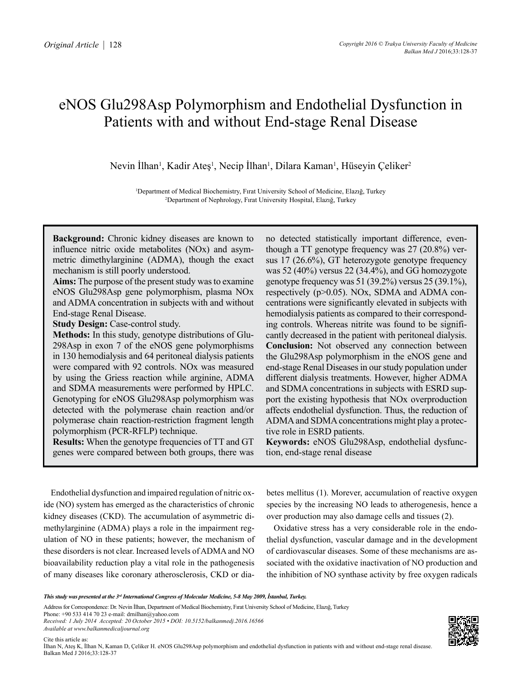# eNOS Glu298Asp Polymorphism and Endothelial Dysfunction in Patients with and without End-stage Renal Disease

Nevin İlhan<sup>1</sup>, Kadir Ateş<sup>1</sup>, Necip İlhan<sup>1</sup>, Dilara Kaman<sup>1</sup>, Hüseyin Çeliker<sup>2</sup>

1 Department of Medical Biochemistry, Fırat University School of Medicine, Elazığ, Turkey 2 Department of Nephrology, Fırat University Hospital, Elazığ, Turkey

**Background:** Chronic kidney diseases are known to influence nitric oxide metabolites (NOx) and asymmetric dimethylarginine (ADMA), though the exact mechanism is still poorly understood.

**Aims:** The purpose of the present study was to examine eNOS Glu298Asp gene polymorphism, plasma NOx and ADMA concentration in subjects with and without End-stage Renal Disease.

**Study Design:** Case-control study.

**Methods:** In this study, genotype distributions of Glu-298Asp in exon 7 of the eNOS gene polymorphisms in 130 hemodialysis and 64 peritoneal dialysis patients were compared with 92 controls. NOx was measured by using the Griess reaction while arginine, ADMA and SDMA measurements were performed by HPLC. Genotyping for eNOS Glu298Asp polymorphism was detected with the polymerase chain reaction and/or polymerase chain reaction-restriction fragment length polymorphism (PCR-RFLP) technique.

**Results:** When the genotype frequencies of TT and GT genes were compared between both groups, there was no detected statistically important difference, eventhough a TT genotype frequency was 27 (20.8%) versus 17 (26.6%), GT heterozygote genotype frequency was 52 (40%) versus 22 (34.4%), and GG homozygote genotype frequency was 51 (39.2%) versus 25 (39.1%), respectively (p>0.05). NOx, SDMA and ADMA concentrations were significantly elevated in subjects with hemodialysis patients as compared to their corresponding controls. Whereas nitrite was found to be significantly decreased in the patient with peritoneal dialysis. **Conclusion:** Not observed any connection between the Glu298Asp polymorphism in the eNOS gene and end-stage Renal Diseases in our study population under different dialysis treatments. However, higher ADMA and SDMA concentrations in subjects with ESRD support the existing hypothesis that NOx overproduction affects endothelial dysfunction. Thus, the reduction of ADMA and SDMA concentrations might play a protective role in ESRD patients.

**Keywords:** eNOS Glu298Asp, endothelial dysfunction, end-stage renal disease

Endothelial dysfunction and impaired regulation of nitric oxide (NO) system has emerged as the characteristics of chronic kidney diseases (CKD). The accumulation of asymmetric dimethylarginine (ADMA) plays a role in the impairment regulation of NO in these patients; however, the mechanism of these disorders is not clear. Increased levels of ADMA and NO bioavailability reduction play a vital role in the pathogenesis of many diseases like coronary atherosclerosis, CKD or dia-

betes mellitus (1). Morever, accumulation of reactive oxygen species by the increasing NO leads to atherogenesis, hence a over production may also damage cells and tissues (2).

Oxidative stress has a very considerable role in the endothelial dysfunction, vascular damage and in the development of cardiovascular diseases. Some of these mechanisms are associated with the oxidative inactivation of NO production and the inhibition of NO synthase activity by free oxygen radicals

Address for Correspondence: Dr. Nevin İlhan, Department of Medical Biochemistry, Fırat University School of Medicine, Elazığ, Turkey



*This study was presented at the 3rd International Congress of Molecular Medicine, 5-8 May 2009, İstanbul, Turkey.*

Phone: +90 533 414 70 23 e-mail: drnilhan@yahoo.com *Received: 1 July 2014 Accepted: 20 October 2015 • DOI: 10.5152/balkanmedj.2016.16566 Available at www.balkanmedicaljournal.org*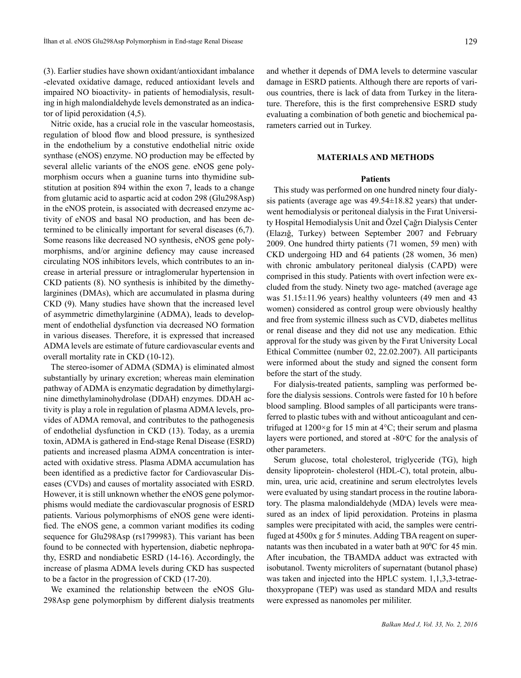(3). Earlier studies have shown oxidant/antioxidant imbalance -elevated oxidative damage, reduced antioxidant levels and impaired NO bioactivity- in patients of hemodialysis, resulting in high malondialdehyde levels demonstrated as an indicator of lipid peroxidation (4,5).

Nitric oxide, has a crucial role in the vascular homeostasis, regulation of blood flow and blood pressure, is synthesized in the endothelium by a constutive endothelial nitric oxide synthase (eNOS) enzyme. NO production may be effected by several allelic variants of the eNOS gene. eNOS gene polymorphism occurs when a guanine turns into thymidine substitution at position 894 within the exon 7, leads to a change from glutamic acid to aspartic acid at codon 298 (Glu298Asp) in the eNOS protein, is associated with decreased enzyme activity of eNOS and basal NO production, and has been determined to be clinically important for several diseases (6,7). Some reasons like decreased NO synthesis, eNOS gene polymorphisms, and/or arginine defiency may cause increased circulating NOS inhibitors levels, which contributes to an increase in arterial pressure or intraglomerular hypertension in CKD patients (8). NO synthesis is inhibited by the dimethylarginines (DMAs), which are accumulated in plasma during CKD (9). Many studies have shown that the increased level of asymmetric dimethylarginine (ADMA), leads to development of endothelial dysfunction via decreased NO formation in various diseases. Therefore, it is expressed that increased ADMA levels are estimate of future cardiovascular events and overall mortality rate in CKD (10-12).

The stereo-isomer of ADMA (SDMA) is eliminated almost substantially by urinary excretion; whereas main elemination pathway of ADMA is enzymatic degradation by dimethylarginine dimethylaminohydrolase (DDAH) enzymes. DDAH activity is play a role in regulation of plasma ADMA levels, provides of ADMA removal, and contributes to the pathogenesis of endothelial dysfunction in CKD (13). Today, as a uremia toxin, ADMA is gathered in End-stage Renal Disease (ESRD) patients and increased plasma ADMA concentration is interacted with oxidative stress. Plasma ADMA accumulation has been identified as a predictive factor for Cardiovascular Diseases (CVDs) and causes of mortality associated with ESRD. However, it is still unknown whether the eNOS gene polymorphisms would mediate the cardiovascular prognosis of ESRD patients. Various polymorphisms of eNOS gene were identified. The eNOS gene, a common variant modifies its coding sequence for Glu298Asp (rs1799983). This variant has been found to be connected with hypertension, diabetic nephropathy, ESRD and nondiabetic ESRD (14-16). Accordingly, the increase of plasma ADMA levels during CKD has suspected to be a factor in the progression of CKD (17-20).

We examined the relationship between the eNOS Glu-298Asp gene polymorphism by different dialysis treatments and whether it depends of DMA levels to determine vascular damage in ESRD patients. Although there are reports of various countries, there is lack of data from Turkey in the literature. Therefore, this is the first comprehensive ESRD study evaluating a combination of both genetic and biochemical parameters carried out in Turkey.

## **MATERIALS AND METHODS**

### **Patients**

This study was performed on one hundred ninety four dialysis patients (average age was 49.54±18.82 years) that underwent hemodialysis or peritoneal dialysis in the Fırat University Hospital Hemodialysis Unit and Özel Çağrı Dialysis Center (Elazığ, Turkey) between September 2007 and February 2009. One hundred thirty patients (71 women, 59 men) with CKD undergoing HD and 64 patients (28 women, 36 men) with chronic ambulatory peritoneal dialysis (CAPD) were comprised in this study. Patients with overt infection were excluded from the study. Ninety two age- matched (average age was 51.15±11.96 years) healthy volunteers (49 men and 43 women) considered as control group were obviously healthy and free from systemic illness such as CVD, diabetes mellitus or renal disease and they did not use any medication. Ethic approval for the study was given by the Fırat University Local Ethical Committee (number 02, 22.02.2007). All participants were informed about the study and signed the consent form before the start of the study.

For dialysis-treated patients, sampling was performed before the dialysis sessions. Controls were fasted for 10 h before blood sampling. Blood samples of all participants were transferred to plastic tubes with and without anticoagulant and centrifuged at  $1200 \times g$  for 15 min at 4°C; their serum and plasma layers were portioned, and stored at -80°C for the analysis of other parameters.

Serum glucose, total cholesterol, triglyceride (TG), high density lipoprotein- cholesterol (HDL-C), total protein, albumin, urea, uric acid, creatinine and serum electrolytes levels were evaluated by using standart process in the routine laboratory. The plasma malondialdehyde (MDA) levels were measured as an index of lipid peroxidation. Proteins in plasma samples were precipitated with acid, the samples were centrifuged at 4500x g for 5 minutes. Adding TBA reagent on supernatants was then incubated in a water bath at  $90^{\circ}$ C for 45 min. After incubation, the TBAMDA adduct was extracted with isobutanol. Twenty microliters of supernatant (butanol phase) was taken and injected into the HPLC system. 1,1,3,3-tetraethoxypropane (TEP) was used as standard MDA and results were expressed as nanomoles per mililiter.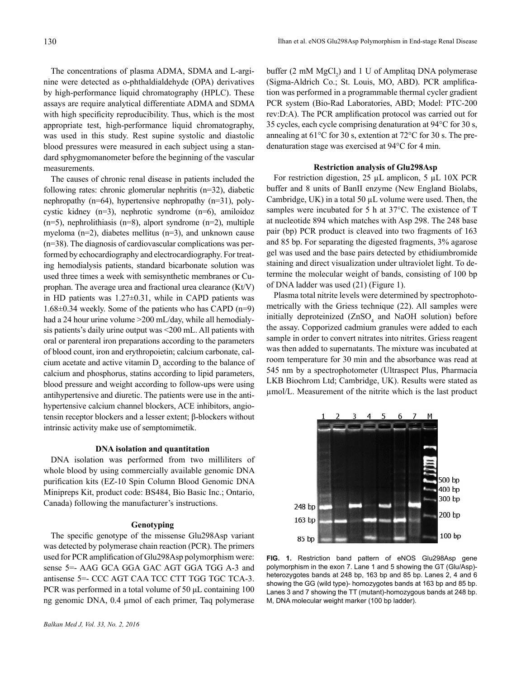The concentrations of plasma ADMA, SDMA and L-arginine were detected as o-phthaldialdehyde (OPA) derivatives by high-performance liquid chromatography (HPLC). These assays are require analytical differentiate ADMA and SDMA with high specificity reproducibility. Thus, which is the most appropriate test, high-performance liquid chromatography, was used in this study. Rest supine systolic and diastolic blood pressures were measured in each subject using a standard sphygmomanometer before the beginning of the vascular measurements.

The causes of chronic renal disease in patients included the following rates: chronic glomerular nephritis (n=32), diabetic nephropathy (n=64), hypertensive nephropathy (n=31), polycystic kidney (n=3), nephrotic syndrome (n=6), amiloidoz  $(n=5)$ , nephrolithiasis  $(n=8)$ , alport syndrome  $(n=2)$ , multiple myeloma (n=2), diabetes mellitus (n=3), and unknown cause (n=38). The diagnosis of cardiovascular complications was performed by echocardiography and electrocardiography. For treating hemodialysis patients, standard bicarbonate solution was used three times a week with semisynthetic membranes or Cuprophan. The average urea and fractional urea clearance (Kt/V) in HD patients was 1.27±0.31, while in CAPD patients was 1.68±0.34 weekly. Some of the patients who has CAPD (n=9) had a 24 hour urine volume > 200 mL/day, while all hemodialysis patients's daily urine output was <200 mL. All patients with oral or parenteral iron preparations according to the parameters of blood count, iron and erythropoietin; calcium carbonate, calcium acetate and active vitamin  $D_3$  according to the balance of calcium and phosphorus, statins according to lipid parameters, blood pressure and weight according to follow-ups were using antihypertensive and diuretic. The patients were use in the antihypertensive calcium channel blockers, ACE inhibitors, angiotensin receptor blockers and a lesser extent; β-blockers without intrinsic activity make use of semptomimetik.

### **DNA isolation and quantitation**

DNA isolation was performed from two milliliters of whole blood by using commercially available genomic DNA purification kits (EZ-10 Spin Column Blood Genomic DNA Minipreps Kit, product code: BS484, Bio Basic Inc.; Ontario, Canada) following the manufacturer's instructions.

### **Genotyping**

The specific genotype of the missense Glu298Asp variant was detected by polymerase chain reaction (PCR). The primers used for PCR amplification of Glu298Asp polymorphism were: sense 5=- AAG GCA GGA GAC AGT GGA TGG A-3 and antisense 5=- CCC AGT CAA TCC CTT TGG TGC TCA-3. PCR was performed in a total volume of 50 μL containing 100 ng genomic DNA, 0.4 µmol of each primer, Taq polymerase

buffer  $(2 \text{ mM } MgCl<sub>2</sub>)$  and  $1 \text{ U of Amplitaq DNA polymerase}$ (Sigma-Aldrich Co.; St. Louis, MO, ABD). PCR amplification was performed in a programmable thermal cycler gradient PCR system (Bio-Rad Laboratories, ABD; Model: PTC-200 rev:D:A). The PCR amplification protocol was carried out for 35 cycles, each cycle comprising denaturation at 94°C for 30 s, annealing at 61°C for 30 s, extention at 72°C for 30 s. The predenaturation stage was exercised at 94°C for 4 min.

# **Restriction analysis of Glu298Asp**

For restriction digestion, 25 µL amplicon, 5 µL 10X PCR buffer and 8 units of BanII enzyme (New England Biolabs, Cambridge, UK) in a total 50  $\mu$ L volume were used. Then, the samples were incubated for 5 h at 37°C. The existence of T at nucleotide 894 which matches with Asp 298. The 248 base pair (bp) PCR product is cleaved into two fragments of 163 and 85 bp. For separating the digested fragments, 3% agarose gel was used and the base pairs detected by ethidiumbromide staining and direct visualization under ultraviolet light. To determine the molecular weight of bands, consisting of 100 bp of DNA ladder was used (21) (Figure 1).

Plasma total nitrite levels were determined by spectrophotometrically with the Griess technique (22). All samples were initially deproteinized  $(ZnSO<sub>4</sub>$  and NaOH solution) before the assay. Copporized cadmium granules were added to each sample in order to convert nitrates into nitrites. Griess reagent was then added to supernatants. The mixture was incubated at room temperature for 30 min and the absorbance was read at 545 nm by a spectrophotometer (Ultraspect Plus, Pharmacia LKB Biochrom Ltd; Cambridge, UK). Results were stated as µmol/L. Measurement of the nitrite which is the last product



**FIG. 1.** Restriction band pattern of eNOS Glu298Asp gene polymorphism in the exon 7. Lane 1 and 5 showing the GT (Glu/Asp) heterozygotes bands at 248 bp, 163 bp and 85 bp. Lanes 2, 4 and 6 showing the GG (wild type)- homozygotes bands at 163 bp and 85 bp. Lanes 3 and 7 showing the TT (mutant)-homozygous bands at 248 bp. M, DNA molecular weight marker (100 bp ladder).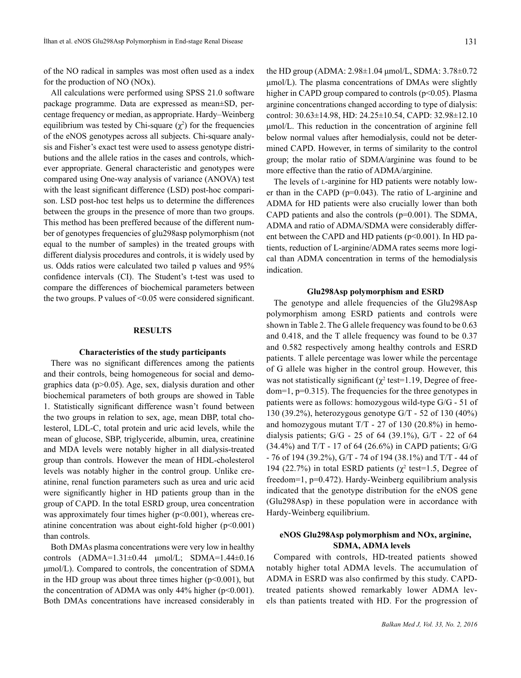of the NO radical in samples was most often used as a index for the production of NO (NOx).

All calculations were performed using SPSS 21.0 software package programme. Data are expressed as mean±SD, percentage frequency or median, as appropriate. Hardy–Weinberg equilibrium was tested by Chi-square  $(\chi^2)$  for the frequencies of the eNOS genotypes across all subjects. Chi-square analysis and Fisher's exact test were used to assess genotype distributions and the allele ratios in the cases and controls, whichever appropriate. General characteristic and genotypes were compared using One-way analysis of variance (ANOVA) test with the least significant difference (LSD) post-hoc comparison. LSD post-hoc test helps us to determine the differences between the groups in the presence of more than two groups. This method has been preffered because of the different number of genotypes frequencies of glu298asp polymorphism (not equal to the number of samples) in the treated groups with different dialysis procedures and controls, it is widely used by us. Odds ratios were calculated two tailed p values and 95% confidence intervals (CI). The Student's t-test was used to compare the differences of biochemical parameters between the two groups. P values of <0.05 were considered significant.

# **RESULTS**

# **Characteristics of the study participants**

There was no significant differences among the patients and their controls, being homogeneous for social and demographics data (p>0.05). Age, sex, dialysis duration and other biochemical parameters of both groups are showed in Table 1. Statistically significant difference wasn't found between the two groups in relation to sex, age, mean DBP, total cholesterol, LDL-C, total protein and uric acid levels, while the mean of glucose, SBP, triglyceride, albumin, urea, creatinine and MDA levels were notably higher in all dialysis-treated group than controls. However the mean of HDL-cholesterol levels was notably higher in the control group. Unlike creatinine, renal function parameters such as urea and uric acid were significantly higher in HD patients group than in the group of CAPD. In the total ESRD group, urea concentration was approximately four times higher  $(p<0.001)$ , whereas creatinine concentration was about eight-fold higher  $(p<0.001)$ than controls.

Both DMAs plasma concentrations were very low in healthy controls (ADMA=1.31±0.44 μmol/L; SDMA=1.44±0.16 μmol/L). Compared to controls, the concentration of SDMA in the HD group was about three times higher  $(p<0.001)$ , but the concentration of ADMA was only  $44\%$  higher (p<0.001). Both DMAs concentrations have increased considerably in

the HD group (ADMA: 2.98±1.04 μmol/L, SDMA: 3.78±0.72 μmol/L). The plasma concentrations of DMAs were slightly higher in CAPD group compared to controls  $(p<0.05)$ . Plasma arginine concentrations changed according to type of dialysis: control: 30.63±14.98, HD: 24.25±10.54, CAPD: 32.98±12.10 μmol/L. This reduction in the concentration of arginine fell below normal values after hemodialysis, could not be determined CAPD. However, in terms of similarity to the control group; the molar ratio of SDMA/arginine was found to be more effective than the ratio of ADMA/arginine.

The levels of L-arginine for HD patients were notably lower than in the CAPD ( $p=0.043$ ). The ratio of L-arginine and ADMA for HD patients were also crucially lower than both CAPD patients and also the controls (p=0.001). The SDMA, ADMA and ratio of ADMA/SDMA were considerably different between the CAPD and HD patients ( $p<0.001$ ). In HD patients, reduction of L-arginine/ADMA rates seems more logical than ADMA concentration in terms of the hemodialysis indication.

# **Glu298Asp polymorphism and ESRD**

The genotype and allele frequencies of the Glu298Asp polymorphism among ESRD patients and controls were shown in Table 2. The G allele frequency was found to be 0.63 and 0.418, and the T allele frequency was found to be 0.37 and 0.582 respectively among healthy controls and ESRD patients. T allele percentage was lower while the percentage of G allele was higher in the control group. However, this was not statistically significant ( $\chi^2$  test=1.19, Degree of freedom=1, p=0.315). The frequencies for the three genotypes in patients were as follows: homozygous wild-type G/G - 51 of 130 (39.2%), heterozygous genotype G/T - 52 of 130 (40%) and homozygous mutant  $T/T - 27$  of 130 (20.8%) in hemodialysis patients; G/G - 25 of 64 (39.1%), G/T - 22 of 64 (34.4%) and T/T - 17 of 64 (26.6%) in CAPD patients; G/G - 76 of 194 (39.2%), G/T - 74 of 194 (38.1%) and T/T - 44 of 194 (22.7%) in total ESRD patients ( $\chi^2$  test=1.5, Degree of freedom=1, p=0.472). Hardy-Weinberg equilibrium analysis indicated that the genotype distribution for the eNOS gene (Glu298Asp) in these population were in accordance with Hardy-Weinberg equilibrium.

# **eNOS Glu298Asp polymorphism and NOx, arginine, SDMA, ADMA levels**

Compared with controls, HD-treated patients showed notably higher total ADMA levels. The accumulation of ADMA in ESRD was also confirmed by this study. CAPDtreated patients showed remarkably lower ADMA levels than patients treated with HD. For the progression of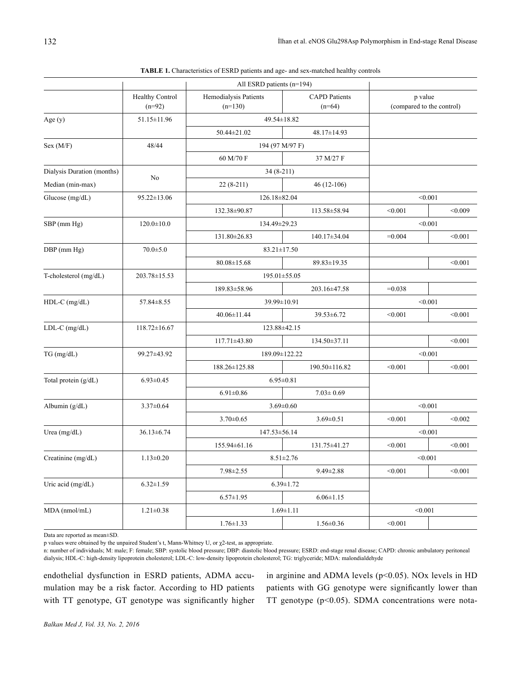|                            |                                    | All ESRD patients (n=194)                                              |                 |                                      |         |  |
|----------------------------|------------------------------------|------------------------------------------------------------------------|-----------------|--------------------------------------|---------|--|
|                            | <b>Healthy Control</b><br>$(n=92)$ | Hemodialysis Patients<br><b>CAPD Patients</b><br>$(n=130)$<br>$(n=64)$ |                 | p value<br>(compared to the control) |         |  |
| Age $(y)$                  | $51.15 \pm 11.96$                  | 49.54±18.82                                                            |                 |                                      |         |  |
|                            |                                    | 50.44±21.02                                                            |                 |                                      |         |  |
| Sex (M/F)                  | 48/44                              | 194 (97 M/97 F)                                                        |                 |                                      |         |  |
|                            |                                    | 60 M/70 F                                                              |                 |                                      |         |  |
| Dialysis Duration (months) |                                    | $34(8-211)$                                                            |                 |                                      |         |  |
| Median (min-max)           | No                                 | $22(8-211)$                                                            |                 |                                      |         |  |
| Glucose (mg/dL)            | 95.22±13.06                        | 126.18±82.04                                                           |                 | < 0.001                              |         |  |
|                            |                                    | 132.38±90.87                                                           | < 0.001         | < 0.009                              |         |  |
| SBP (mm Hg)                | $120.0 \pm 10.0$                   | 134.49±29.23                                                           | < 0.001         |                                      |         |  |
|                            |                                    | 131.80±26.83                                                           | 140.17±34.04    | $=0.004$                             | < 0.001 |  |
| DBP (mm Hg)                | $70.0 + 5.0$                       | 83.21±17.50                                                            |                 |                                      |         |  |
|                            |                                    | $80.08 \pm 15.68$                                                      | 89.83±19.35     |                                      | < 0.001 |  |
| T-cholesterol (mg/dL)      | 203.78±15.53                       | 195.01±55.05                                                           |                 |                                      |         |  |
|                            |                                    | 189.83±58.96                                                           | 203.16±47.58    | $=0.038$                             |         |  |
| HDL-C (mg/dL)              | 57.84 ± 8.55                       | 39.99±10.91                                                            | < 0.001         |                                      |         |  |
|                            |                                    | 40.06±11.44<br>39.53±6.72                                              |                 | < 0.001                              | < 0.001 |  |
| LDL-C (mg/dL)              | $118.72 \pm 16.67$                 | 123.88±42.15                                                           |                 |                                      |         |  |
|                            |                                    | 117.71±43.80                                                           | 134.50±37.11    |                                      | < 0.001 |  |
| TG (mg/dL)                 | 99.27±43.92                        | 189.09±122.22                                                          | < 0.001         |                                      |         |  |
|                            |                                    | 188.26±125.88                                                          | 190.50±116.82   | < 0.001                              | < 0.001 |  |
| Total protein (g/dL)       | $6.93 \pm 0.45$                    | $6.95 \pm 0.81$                                                        |                 |                                      |         |  |
|                            |                                    | $6.91 \pm 0.86$                                                        | $7.03 \pm 0.69$ |                                      |         |  |
| Albumin $(g/dL)$           | $3.37 \pm 0.64$                    | $3.69 \pm 0.60$                                                        | < 0.001         |                                      |         |  |
|                            |                                    | $3.70 \pm 0.65$<br>$3.69 \pm 0.51$                                     |                 | < 0.001                              | < 0.002 |  |
| Urea (mg/dL)               | 36.13±6.74                         | 147.53±56.14                                                           | < 0.001         |                                      |         |  |
|                            |                                    | 155.94±61.16                                                           | 131.75±41.27    | < 0.001                              | < 0.001 |  |
| Creatinine (mg/dL)         | $1.13 \pm 0.20$                    | $8.51 \pm 2.76$                                                        | < 0.001         |                                      |         |  |
|                            |                                    | 7.98±2.55                                                              | $9.49 \pm 2.88$ | < 0.001                              | < 0.001 |  |
| Uric acid (mg/dL)          | $6.32 \pm 1.59$                    | $6.39 \pm 1.72$                                                        |                 |                                      |         |  |
|                            |                                    | $6.57 \pm 1.95$<br>$6.06 \pm 1.15$                                     |                 |                                      |         |  |
| MDA (nmol/mL)              | $1.21 \pm 0.38$                    | $1.69 \pm 1.11$                                                        | < 0.001         |                                      |         |  |
|                            |                                    | $1.76 \pm 1.33$                                                        | $1.56 \pm 0.36$ | < 0.001                              |         |  |

**TABLE 1.** Characteristics of ESRD patients and age- and sex-matched healthy controls

Data are reported as mean±SD.

p values were obtained by the unpaired Student's t, Mann-Whitney U, or  $\chi$ 2-test, as appropriate.

n: number of individuals; M: male; F: female; SBP: systolic blood pressure; DBP: diastolic blood pressure; ESRD: end-stage renal disease; CAPD: chronic ambulatory peritoneal dialysis; HDL-C: high-density lipoprotein cholesterol; LDL-C: low-density lipoprotein cholesterol; TG: triglyceride; MDA: malondialdehyde

endothelial dysfunction in ESRD patients, ADMA accumulation may be a risk factor. According to HD patients with TT genotype, GT genotype was significantly higher in arginine and ADMA levels  $(p<0.05)$ . NOx levels in HD patients with GG genotype were significantly lower than TT genotype (p<0.05). SDMA concentrations were nota-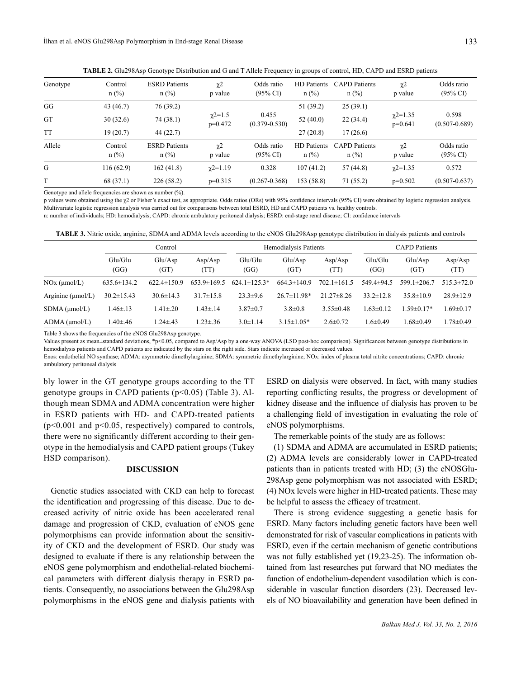**TABLE 2.** Glu298Asp Genotype Distribution and G and T Allele Frequency in groups of control, HD, CAPD and ESRD patients

| Genotype  | Control<br>$n$ (%) | <b>ESRD</b> Patients<br>$n$ (%) | $\chi^2$<br>p value       | Odds ratio<br>$(95\% \text{ C}I)$ | <b>HD</b> Patients<br>$n$ (%) | <b>CAPD</b> Patients<br>$n$ (%) | $\chi$ 2<br>p value            | Odds ratio<br>$(95\% \text{ CI})$ |  |
|-----------|--------------------|---------------------------------|---------------------------|-----------------------------------|-------------------------------|---------------------------------|--------------------------------|-----------------------------------|--|
| GG        | 43 (46.7)          | 76 (39.2)                       |                           |                                   | 51 (39.2)                     | 25(39.1)                        |                                |                                   |  |
| <b>GT</b> | 30(32.6)           | 74 (38.1)                       | $\chi$ 2=1.5<br>$p=0.472$ | 0.455<br>$(0.379 - 0.530)$        | 52(40.0)                      | 22(34.4)                        | $\chi$ 2=1.35<br>$p=0.641$     | 0.598<br>$(0.507 - 0.689)$        |  |
| <b>TT</b> | 19(20.7)           | 44(22.7)                        |                           |                                   | 27(20.8)                      | 17(26.6)                        |                                |                                   |  |
| Allele    | Control<br>$n$ (%) | <b>ESRD</b> Patients<br>$n$ (%) | $\chi$ 2<br>p value       | Odds ratio<br>$(95\% \text{ C}I)$ | <b>HD</b> Patients<br>$n$ (%) | <b>CAPD</b> Patients<br>$n$ (%) | $\chi$ <sup>2</sup><br>p value | Odds ratio<br>$(95\% \text{ CI})$ |  |
| G         | 116(62.9)          | 162(41.8)                       | $\gamma$ 2=1.19           | 0.328                             | 107(41.2)                     | 57 (44.8)                       | $\gamma$ 2=1.35                | 0.572                             |  |
|           | 68 (37.1)          | 226(58.2)                       | $p=0.315$                 | $(0.267 - 0.368)$                 | 153 (58.8)                    | 71(55.2)                        | $p=0.502$                      | $(0.507 - 0.637)$                 |  |

Genotype and allele frequencies are shown as number (%).

p values were obtained using the χ2 or Fisher's exact test, as appropriate. Odds ratios (ORs) with 95% confidence intervals (95% CI) were obtained by logistic regression analysis. Multivariate logistic regression analysis was carried out for comparisons between total ESRD, HD and CAPD patients vs. healthy controls.

n: number of individuals; HD: hemodialysis; CAPD: chronic ambulatory peritoneal dialysis; ESRD: end-stage renal disease; CI: confidence intervals

**TABLE 3.** Nitric oxide, arginine, SDMA and ADMA levels according to the eNOS Glu298Asp genotype distribution in dialysis patients and controls

|                               |                   | Control           |                   |                    | Hemodialysis Patients |                   |                  | <b>CAPD</b> Patients |                  |  |
|-------------------------------|-------------------|-------------------|-------------------|--------------------|-----------------------|-------------------|------------------|----------------------|------------------|--|
|                               | Glu/Glu<br>(GG)   | Glu/Asp<br>(GT)   | Asp/Asp<br>(TT)   | Glu/Glu<br>(GG)    | Glu/Asp<br>(GT)       | Asp/Asp<br>(TT)   | Glu/Glu<br>(GG)  | Glu/Asp<br>(GT)      | Asp/Asp<br>(TT)  |  |
| $NOx$ ( $\mu$ mol/L)          | $635.6 \pm 134.2$ | $622.4 \pm 150.9$ | $653.9 \pm 169.5$ | $624.1 \pm 125.3*$ | $664.3 \pm 140.9$     | $702.1 \pm 161.5$ | $549.4 \pm 94.5$ | 599.1 $\pm$ 206.7    | $515.3 \pm 72.0$ |  |
| Arginine $(\mu \text{mol/L})$ | $30.2 \pm 15.43$  | $30.6 \pm 14.3$   | $31.7 \pm 15.8$   | $23.3 \pm 9.6$     | $26.7 \pm 11.98*$     | $21.27\pm8.26$    | $33.2 \pm 12.8$  | $35.8 \pm 10.9$      | $28.9 \pm 12.9$  |  |
| $SDMA$ ( $\mu$ mol/L)         | $.46 \pm .13$     | $1.41 \pm 0.20$   | $1.43 \pm 14$     | $3.87\pm0.7$       | $3.8 \pm 0.8$         | $3.55 \pm 0.48$   | $1.63 \pm 0.12$  | $.59\pm0.17*$        | $.69 \pm 0.17$   |  |
| $ADMA$ ( $\mu$ mol/L)         | $.40 \pm .46$     | $1.24 \pm .43$    | $1.23 \pm .36$    | $3.0 \pm 1.14$     | $3.15 \pm 1.05*$      | $2.6 \pm 0.72$    | $1.6 \pm 0.49$   | $-68\pm0.49$         | .78 $\pm$ 0.49   |  |

Table 3 shows the frequencies of the eNOS Glu298Asp genotype.

Values present as mean±standard deviations, \*p<0.05, compared to Asp/Asp by a one-way ANOVA (LSD post-hoc comparison). Significances between genotype distributions in hemodialysis patients and CAPD patients are indicated by the stars on the right side. Stars indicate increased or decreased values.

Enos: endothelial NO synthase; ADMA: asymmetric dimethylarginine; SDMA: symmetric dimethylarginine; NOx: index of plasma total nitrite concentrations; CAPD: chronic ambulatory peritoneal dialysis

bly lower in the GT genotype groups according to the TT genotype groups in CAPD patients  $(p<0.05)$  (Table 3). Although mean SDMA and ADMA concentration were higher in ESRD patients with HD- and CAPD-treated patients  $(p<0.001$  and  $p<0.05$ , respectively) compared to controls, there were no significantly different according to their genotype in the hemodialysis and CAPD patient groups (Tukey HSD comparison).

## **DISCUSSION**

Genetic studies associated with CKD can help to forecast the identification and progressing of this disease. Due to decreased activity of nitric oxide has been accelerated renal damage and progression of CKD, evaluation of eNOS gene polymorphisms can provide information about the sensitivity of CKD and the development of ESRD. Our study was designed to evaluate if there is any relationship between the eNOS gene polymorphism and endothelial-related biochemical parameters with different dialysis therapy in ESRD patients. Consequently, no associations between the Glu298Asp polymorphisms in the eNOS gene and dialysis patients with

ESRD on dialysis were observed. In fact, with many studies reporting conflicting results, the progress or development of kidney disease and the influence of dialysis has proven to be a challenging field of investigation in evaluating the role of eNOS polymorphisms.

The remerkable points of the study are as follows:

(1) SDMA and ADMA are accumulated in ESRD patients; (2) ADMA levels are considerably lower in CAPD-treated patients than in patients treated with HD; (3) the eNOSGlu-298Asp gene polymorphism was not associated with ESRD; (4) NOx levels were higher in HD-treated patients. These may be helpful to assess the efficacy of treatment.

There is strong evidence suggesting a genetic basis for ESRD. Many factors including genetic factors have been well demonstrated for risk of vascular complications in patients with ESRD, even if the certain mechanism of genetic contributions was not fully established yet (19,23-25). The information obtained from last researches put forward that NO mediates the function of endothelium-dependent vasodilation which is considerable in vascular function disorders (23). Decreased levels of NO bioavailability and generation have been defined in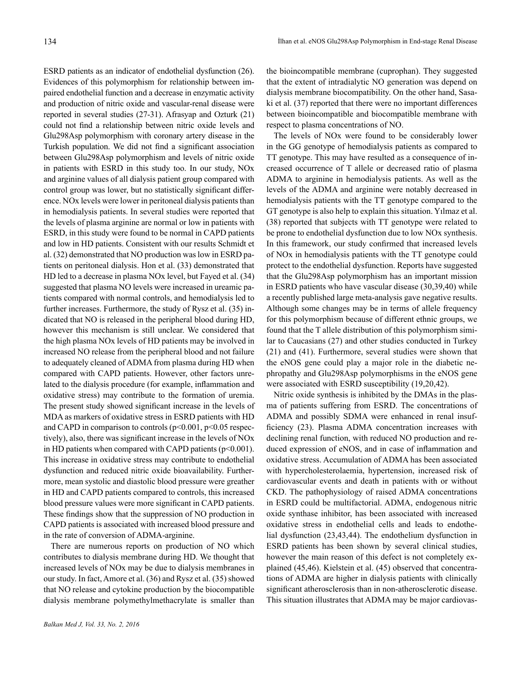ESRD patients as an indicator of endothelial dysfunction (26). Evidences of this polymorphism for relationship between impaired endothelial function and a decrease in enzymatic activity and production of nitric oxide and vascular-renal disease were reported in several studies (27-31). Afrasyap and Ozturk (21) could not find a relationship between nitric oxide levels and Glu298Asp polymorphism with coronary artery disease in the Turkish population. We did not find a significant association between Glu298Asp polymorphism and levels of nitric oxide in patients with ESRD in this study too. In our study, NOx and arginine values of all dialysis patient group compared with control group was lower, but no statistically significant difference. NOx levels were lower in peritoneal dialysis patients than in hemodialysis patients. In several studies were reported that the levels of plasma arginine are normal or low in patients with ESRD, in this study were found to be normal in CAPD patients and low in HD patients. Consistent with our results Schmidt et al. (32) demonstrated that NO production was low in ESRD patients on peritoneal dialysis. Hon et al. (33) demonstrated that HD led to a decrease in plasma NOx level, but Fayed et al. (34) suggested that plasma NO levels were increased in ureamic patients compared with normal controls, and hemodialysis led to further increases. Furthermore, the study of Rysz et al. (35) indicated that NO is released in the peripheral blood during HD, however this mechanism is still unclear. We considered that the high plasma NOx levels of HD patients may be involved in increased NO release from the peripheral blood and not failure to adequately cleaned of ADMA from plasma during HD when compared with CAPD patients. However, other factors unrelated to the dialysis procedure (for example, inflammation and oxidative stress) may contribute to the formation of uremia. The present study showed significant increase in the levels of MDA as markers of oxidative stress in ESRD patients with HD and CAPD in comparison to controls  $(p<0.001, p<0.05$  respectively), also, there was significant increase in the levels of NOx in HD patients when compared with CAPD patients  $(p<0.001)$ . This increase in oxidative stress may contribute to endothelial dysfunction and reduced nitric oxide bioavailability. Furthermore, mean systolic and diastolic blood pressure were greather in HD and CAPD patients compared to controls, this increased blood pressure values were more significant in CAPD patients. These findings show that the suppression of NO production in CAPD patients is associated with increased blood pressure and in the rate of conversion of ADMA-arginine.

There are numerous reports on production of NO which contributes to dialysis membrane during HD. We thought that increased levels of NOx may be due to dialysis membranes in our study. In fact, Amore et al. (36) and Rysz et al. (35) showed that NO release and cytokine production by the biocompatible dialysis membrane polymethylmethacrylate is smaller than the bioincompatible membrane (cuprophan). They suggested that the extent of intradialytic NO generation was depend on dialysis membrane biocompatibility. On the other hand, Sasaki et al. (37) reported that there were no important differences between bioincompatible and biocompatible membrane with respect to plasma concentrations of NO.

The levels of NOx were found to be considerably lower in the GG genotype of hemodialysis patients as compared to TT genotype. This may have resulted as a consequence of increased occurrence of T allele or decreased ratio of plasma ADMA to arginine in hemodialysis patients. As well as the levels of the ADMA and arginine were notably decreased in hemodialysis patients with the TT genotype compared to the GT genotype is also help to explain this situation. Yılmaz et al. (38) reported that subjects with TT genotype were related to be prone to endothelial dysfunction due to low NOx synthesis. In this framework, our study confirmed that increased levels of NOx in hemodialysis patients with the TT genotype could protect to the endothelial dysfunction. Reports have suggested that the Glu298Asp polymorphism has an important mission in ESRD patients who have vascular disease (30,39,40) while a recently published large meta-analysis gave negative results. Although some changes may be in terms of allele frequency for this polymorphism because of different ethnic groups, we found that the T allele distribution of this polymorphism similar to Caucasians (27) and other studies conducted in Turkey (21) and (41). Furthermore, several studies were shown that the eNOS gene could play a major role in the diabetic nephropathy and Glu298Asp polymorphisms in the eNOS gene were associated with ESRD susceptibility (19,20,42).

Nitric oxide synthesis is inhibited by the DMAs in the plasma of patients suffering from ESRD. The concentrations of ADMA and possibly SDMA were enhanced in renal insufficiency (23). Plasma ADMA concentration increases with declining renal function, with reduced NO production and reduced expression of eNOS, and in case of inflammation and oxidative stress. Accumulation of ADMA has been associated with hypercholesterolaemia, hypertension, increased risk of cardiovascular events and death in patients with or without CKD. The pathophysiology of raised ADMA concentrations in ESRD could be multifactorial. ADMA, endogenous nitric oxide synthase inhibitor, has been associated with increased oxidative stress in endothelial cells and leads to endothelial dysfunction (23,43,44). The endothelium dysfunction in ESRD patients has been shown by several clinical studies, however the main reason of this defect is not completely explained (45,46). Kielstein et al. (45) observed that concentrations of ADMA are higher in dialysis patients with clinically significant atherosclerosis than in non-atherosclerotic disease. This situation illustrates that ADMA may be major cardiovas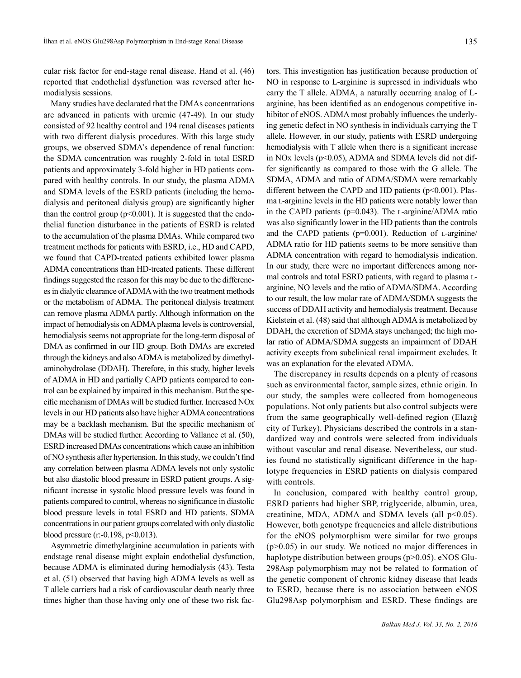cular risk factor for end-stage renal disease. Hand et al. (46) reported that endothelial dysfunction was reversed after hemodialysis sessions.

Many studies have declarated that the DMAs concentrations are advanced in patients with uremic (47-49). In our study consisted of 92 healthy control and 194 renal diseases patients with two different dialysis procedures. With this large study groups, we observed SDMA's dependence of renal function: the SDMA concentration was roughly 2-fold in total ESRD patients and approximately 3-fold higher in HD patients compared with healthy controls. In our study, the plasma ADMA and SDMA levels of the ESRD patients (including the hemodialysis and peritoneal dialysis group) are significantly higher than the control group  $(p<0.001)$ . It is suggested that the endothelial function disturbance in the patients of ESRD is related to the accumulation of the plasma DMAs. While compared two treatment methods for patients with ESRD, i.e., HD and CAPD, we found that CAPD-treated patients exhibited lower plasma ADMA concentrations than HD-treated patients. These different findings suggested the reason for this may be due to the differences in dialytic clearance of ADMA with the two treatment methods or the metabolism of ADMA. The peritoneal dialysis treatment can remove plasma ADMA partly. Although information on the impact of hemodialysis on ADMA plasma levels is controversial, hemodialysis seems not appropriate for the long-term disposal of DMA as confirmed in our HD group. Both DMAs are excreted through the kidneys and also ADMA is metabolized by dimethylaminohydrolase (DDAH). Therefore, in this study, higher levels of ADMA in HD and partially CAPD patients compared to control can be explained by impaired in this mechanism. But the specific mechanism of DMAs will be studied further. Increased NOx levels in our HD patients also have higher ADMA concentrations may be a backlash mechanism. But the specific mechanism of DMAs will be studied further. According to Vallance et al. (50), ESRD increased DMAs concentrations which cause an inhibition of NO synthesis after hypertension. In this study, we couldn't find any correlation between plasma ADMA levels not only systolic but also diastolic blood pressure in ESRD patient groups. A significant increase in systolic blood pressure levels was found in patients compared to control, whereas no significance in diastolic blood pressure levels in total ESRD and HD patients. SDMA concentrations in our patient groups correlated with only diastolic blood pressure (r:-0.198,  $p < 0.013$ ).

Asymmetric dimethylarginine accumulation in patients with endstage renal disease might explain endothelial dysfunction, because ADMA is eliminated during hemodialysis (43). Testa et al. (51) observed that having high ADMA levels as well as T allele carriers had a risk of cardiovascular death nearly three times higher than those having only one of these two risk factors. This investigation has justification because production of NO in response to L-arginine is supressed in individuals who carry the T allele. ADMA, a naturally occurring analog of Larginine, has been identified as an endogenous competitive inhibitor of eNOS. ADMA most probably influences the underlying genetic defect in NO synthesis in individuals carrying the T allele. However, in our study, patients with ESRD undergoing hemodialysis with T allele when there is a significant increase in NO<sub>x</sub> levels (p<0.05), ADMA and SDMA levels did not differ significantly as compared to those with the G allele. The SDMA, ADMA and ratio of ADMA/SDMA were remarkably different between the CAPD and HD patients  $(p<0.001)$ . Plasma l-arginine levels in the HD patients were notably lower than in the CAPD patients ( $p=0.043$ ). The L-arginine/ADMA ratio was also significantly lower in the HD patients than the controls and the CAPD patients ( $p=0.001$ ). Reduction of L-arginine/ ADMA ratio for HD patients seems to be more sensitive than ADMA concentration with regard to hemodialysis indication. In our study, there were no important differences among normal controls and total ESRD patients, with regard to plasma Larginine, NO levels and the ratio of ADMA/SDMA. According to our result, the low molar rate of ADMA/SDMA suggests the success of DDAH activity and hemodialysis treatment. Because Kielstein et al. (48) said that although ADMA is metabolized by DDAH, the excretion of SDMA stays unchanged; the high molar ratio of ADMA/SDMA suggests an impairment of DDAH activity excepts from subclinical renal impairment excludes. It was an explanation for the elevated ADMA.

The discrepancy in results depends on a plenty of reasons such as environmental factor, sample sizes, ethnic origin. In our study, the samples were collected from homogeneous populations. Not only patients but also control subjects were from the same geographically well-defined region (Elazığ city of Turkey). Physicians described the controls in a standardized way and controls were selected from individuals without vascular and renal disease. Nevertheless, our studies found no statistically significant difference in the haplotype frequencies in ESRD patients on dialysis compared with controls.

In conclusion, compared with healthy control group, ESRD patients had higher SBP, triglyceride, albumin, urea, creatinine, MDA, ADMA and SDMA levels (all  $p<0.05$ ). However, both genotype frequencies and allele distributions for the eNOS polymorphism were similar for two groups (p>0.05) in our study. We noticed no major differences in haplotype distribution between groups (p>0.05). eNOS Glu-298Asp polymorphism may not be related to formation of the genetic component of chronic kidney disease that leads to ESRD, because there is no association between eNOS Glu298Asp polymorphism and ESRD. These findings are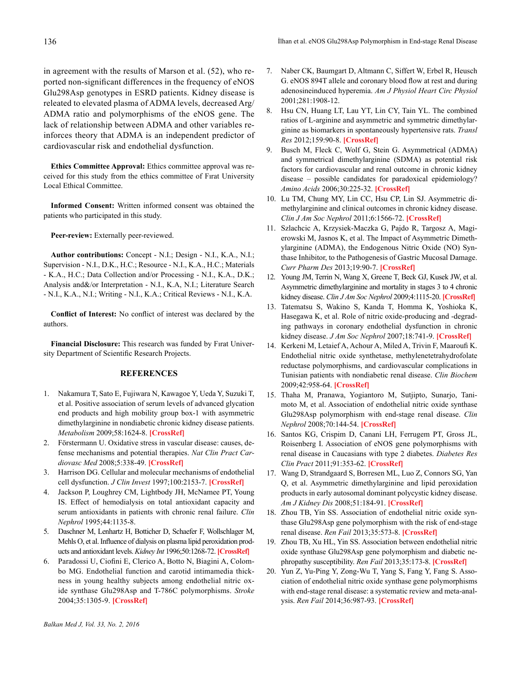in agreement with the results of Marson et al. (52), who reported non-significant differences in the frequency of eNOS Glu298Asp genotypes in ESRD patients. Kidney disease is releated to elevated plasma of ADMA levels, decreased Arg/ ADMA ratio and polymorphisms of the eNOS gene. The lack of relationship between ADMA and other variables reinforces theory that ADMA is an independent predictor of cardiovascular risk and endothelial dysfunction.

**Ethics Committee Approval:** Ethics committee approval was received for this study from the ethics committee of Fırat University Local Ethical Committee.

**Informed Consent:** Written informed consent was obtained the patients who participated in this study.

Peer-review: Externally peer-reviewed.

**Author contributions:** Concept - N.I.; Design - N.I., K.A., N.I.; Supervision - N.I., D.K., H.C.; Resource - N.I., K.A., H.C.; Materials - K.A., H.C.; Data Collection and/or Processing - N.I., K.A., D.K.; Analysis and&/or Interpretation - N.I., K.A, N.I.; Literature Search - N.I., K.A., N.I.; Writing - N.I., K.A.; Critical Reviews - N.I., K.A.

**Conflict of Interest:** No conflict of interest was declared by the authors.

**Financial Disclosure:** This research was funded by Fırat University Department of Scientific Research Projects.

# **REFERENCES**

- 1. Nakamura T, Sato E, Fujiwara N, Kawagoe Y, Ueda Y, Suzuki T, et al. Positive association of serum levels of advanced glycation end products and high mobility group box-1 with asymmetric dimethylarginine in nondiabetic chronic kidney disease patients. *Metabolism* 2009;58:1624-8. **[[CrossRef](http://dx.doi.org/10.1016/j.metabol.2009.05.018)]**
- 2. Förstermann U. Oxidative stress in vascular disease: causes, defense mechanisms and potential therapies. *Nat Clin Pract Cardiovasc Med* 2008;5:338-49. **[\[CrossRef\]](http://dx.doi.org/10.1038/ncpcardio1211)**
- 3. Harrison DG. Cellular and molecular mechanisms of endothelial cell dysfunction. *J Clin Invest* 1997;100:2153-7. **[\[CrossRef\]](http://dx.doi.org/10.1172/JCI119751)**
- 4. Jackson P, Loughrey CM, Lightbody JH, McNamee PT, Young IS. Effect of hemodialysis on total antioxidant capacity and serum antioxidants in patients with chronic renal failure. *Clin Nephrol* 1995;44:1135-8.
- 5. Daschner M, Lenhartz H, Botticher D, Schaefer F, Wollschlager M, Mehls O, et al. Influence of dialysis on plasma lipid peroxidation products and antioxidant levels. *Kidney Int* 1996;50:1268-72. **[\[CrossRef](http://dx.doi.org/10.1038/ki.1996.437)]**
- 6. Paradossi U, Ciofini E, Clerico A, Botto N, Biagini A, Colombo MG. Endothelial function and carotid intimamedia thickness in young healthy subjects among endothelial nitric oxide synthase Glu298Asp and T-786C polymorphisms. *Stroke* 2004;35:1305-9. **[\[CrossRef\]](http://dx.doi.org/10.1161/01.STR.0000126482.86708.37)**
- 7. Naber CK, Baumgart D, Altmann C, Siffert W, Erbel R, Heusch G. eNOS 894T allele and coronary blood flow at rest and during adenosineinduced hyperemia. *Am J Physiol Heart Circ Physiol* 2001;281:1908-12.
- 8. Hsu CN, Huang LT, Lau YT, Lin CY, Tain YL. The combined ratios of L-arginine and asymmetric and symmetric dimethylarginine as biomarkers in spontaneously hypertensive rats. *Transl Res* 2012;159:90-8. **[[CrossRef\]](http://dx.doi.org/10.1016/j.trsl.2011.09.002)**
- 9. Busch M, Fleck C, Wolf G, Stein G. Asymmetrical (ADMA) and symmetrical dimethylarginine (SDMA) as potential risk factors for cardiovascular and renal outcome in chronic kidney disease – possible candidates for paradoxical epidemiology? *Amino Acids* 2006;30:225-32. **[[CrossRef\]](http://dx.doi.org/10.1007/s00726-005-0268-8)**
- 10. Lu TM, Chung MY, Lin CC, Hsu CP, Lin SJ. Asymmetric dimethylarginine and clinical outcomes in chronic kidney disease. *Clin J Am Soc Nephrol* 2011;6:1566-72. **[\[CrossRef\]](http://dx.doi.org/10.2215/CJN.08490910)**
- 11. Szlachcic A, Krzysiek-Maczka G, Pajdo R, Targosz A, Magierowski M, Jasnos K, et al. The Impact of Asymmetric Dimethylarginine (ADMA), the Endogenous Nitric Oxide (NO) Synthase Inhibitor, to the Pathogenesis of Gastric Mucosal Damage. *Curr Pharm Des* 2013;19:90-7. **[[CrossRef\]](http://dx.doi.org/10.2174/13816128130113)**
- 12. Young JM, Terrin N, Wang X, Greene T, Beck GJ, Kusek JW, et al. Asymmetric dimethylarginine and mortality in stages 3 to 4 chronic kidney disease. *Clin J Am Soc Nephrol* 2009;4:1115-20. **[\[CrossRef](http://dx.doi.org/10.2215/CJN.06671208)]**
- 13. Tatematsu S, Wakino S, Kanda T, Homma K, Yoshioka K, Hasegawa K, et al. Role of nitric oxide-producing and -degrading pathways in coronary endothelial dysfunction in chronic kidney disease. *J Am Soc Nephrol* 2007;18:741-9. **[[CrossRef\]](http://dx.doi.org/10.1681/ASN.2006040367)**
- 14. Kerkeni M, Letaief A, Achour A, Miled A, Trivin F, Maaroufi K. Endothelial nitric oxide synthetase, methylenetetrahydrofolate reductase polymorphisms, and cardiovascular complications in Tunisian patients with nondiabetic renal disease. *Clin Biochem* 2009;42:958-64. **[[CrossRef](http://dx.doi.org/10.1016/j.clinbiochem.2009.02.009)]**
- 15. Thaha M, Pranawa, Yogiantoro M, Sutjipto, Sunarjo, Tanimoto M, et al. Association of endothelial nitric oxide synthase Glu298Asp polymorphism with end-stage renal disease. *Clin Nephrol* 2008;70:144-54. **[\[CrossRef\]](http://dx.doi.org/10.5414/CNP70144)**
- 16. Santos KG, Crispim D, Canani LH, Ferrugem PT, Gross JL, Roisenberg I. Association of eNOS gene polymorphisms with renal disease in Caucasians with type 2 diabetes. *Diabetes Res Clin Pract* 2011;91:353-62. **[\[CrossRef\]](http://dx.doi.org/10.1016/j.diabres.2010.12.029)**
- 17. Wang D, Strandgaard S, Borresen ML, Luo Z, Connors SG, Yan Q, et al. Asymmetric dimethylarginine and lipid peroxidation products in early autosomal dominant polycystic kidney disease. *Am J Kidney Dis* 2008;51:184-91. **[[CrossRef](http://dx.doi.org/10.1053/j.ajkd.2007.09.020)]**
- 18. Zhou TB, Yin SS. Association of endothelial nitric oxide synthase Glu298Asp gene polymorphism with the risk of end-stage renal disease. *Ren Fail* 2013;35:573-8. **[[CrossRef\]](http://dx.doi.org/10.3109/0886022X.2013.773834)**
- 19. Zhou TB, Xu HL, Yin SS. Association between endothelial nitric oxide synthase Glu298Asp gene polymorphism and diabetic nephropathy susceptibility. *Ren Fail* 2013;35:173-8. **[[CrossRef](http://dx.doi.org/10.3109/0886022X.2013.773834)]**
- 20. Yun Z, Yu-Ping Y, Zong-Wu T, Yang S, Fang Y, Fang S. Association of endothelial nitric oxide synthase gene polymorphisms with end-stage renal disease: a systematic review and meta-analysis. *Ren Fail* 2014;36:987-93. **[[CrossRef](http://dx.doi.org/10.3109/0886022X.2014.900601)]**